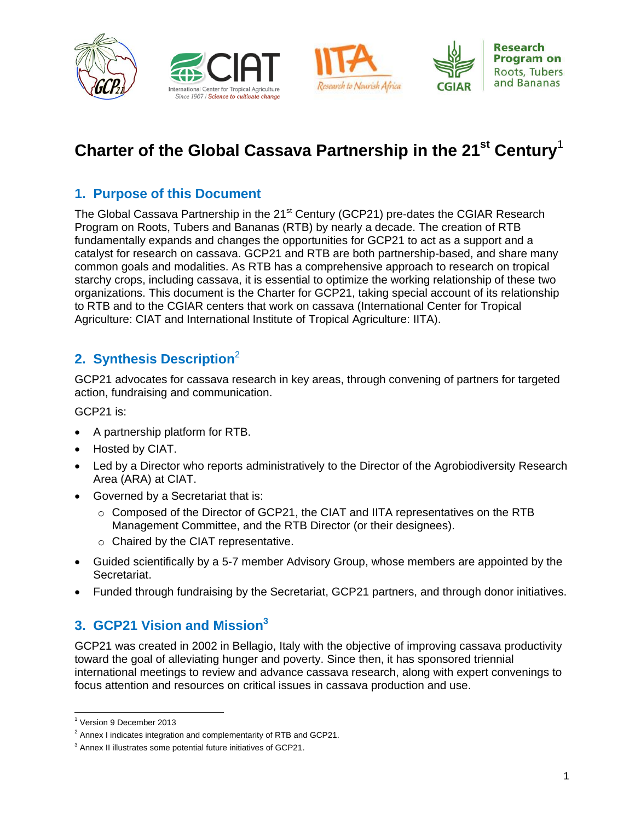







# **Charter of the Global Cassava Partnership in the 21st Century**<sup>1</sup>

# **1. Purpose of this Document**

The Global Cassava Partnership in the 21<sup>st</sup> Century (GCP21) pre-dates the CGIAR Research Program on Roots, Tubers and Bananas (RTB) by nearly a decade. The creation of RTB fundamentally expands and changes the opportunities for GCP21 to act as a support and a catalyst for research on cassava. GCP21 and RTB are both partnership-based, and share many common goals and modalities. As RTB has a comprehensive approach to research on tropical starchy crops, including cassava, it is essential to optimize the working relationship of these two organizations. This document is the Charter for GCP21, taking special account of its relationship to RTB and to the CGIAR centers that work on cassava (International Center for Tropical Agriculture: CIAT and International Institute of Tropical Agriculture: IITA).

# **2. Synthesis Description**<sup>2</sup>

GCP21 advocates for cassava research in key areas, through convening of partners for targeted action, fundraising and communication.

GCP21 is:

- A partnership platform for RTB.
- Hosted by CIAT.
- Led by a Director who reports administratively to the Director of the Agrobiodiversity Research Area (ARA) at CIAT.
- Governed by a Secretariat that is:
	- o Composed of the Director of GCP21, the CIAT and IITA representatives on the RTB Management Committee, and the RTB Director (or their designees).
	- o Chaired by the CIAT representative.
- Guided scientifically by a 5-7 member Advisory Group, whose members are appointed by the Secretariat.
- Funded through fundraising by the Secretariat, GCP21 partners, and through donor initiatives.

# **3. GCP21 Vision and Mission<sup>3</sup>**

GCP21 was created in 2002 in Bellagio, Italy with the objective of improving cassava productivity toward the goal of alleviating hunger and poverty. Since then, it has sponsored triennial international meetings to review and advance cassava research, along with expert convenings to focus attention and resources on critical issues in cassava production and use.

 $\overline{\phantom{a}}$ <sup>1</sup> Version 9 December 2013

 $2$  Annex I indicates integration and complementarity of RTB and GCP21.

<sup>&</sup>lt;sup>3</sup> Annex II illustrates some potential future initiatives of GCP21.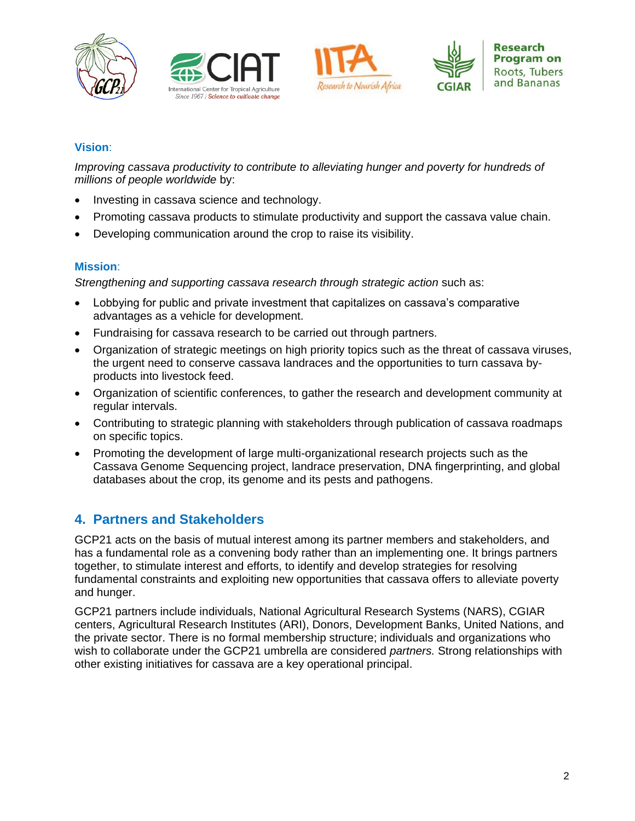







### **Vision**:

*Improving cassava productivity to contribute to alleviating hunger and poverty for hundreds of millions of people worldwide* by:

- Investing in cassava science and technology.
- Promoting cassava products to stimulate productivity and support the cassava value chain.
- Developing communication around the crop to raise its visibility.

### **Mission**:

*Strengthening and supporting cassava research through strategic action* such as:

- Lobbying for public and private investment that capitalizes on cassava's comparative advantages as a vehicle for development.
- Fundraising for cassava research to be carried out through partners.
- Organization of strategic meetings on high priority topics such as the threat of cassava viruses, the urgent need to conserve cassava landraces and the opportunities to turn cassava byproducts into livestock feed.
- Organization of scientific conferences, to gather the research and development community at regular intervals.
- Contributing to strategic planning with stakeholders through publication of cassava roadmaps on specific topics.
- Promoting the development of large multi-organizational research projects such as the Cassava Genome Sequencing project, landrace preservation, DNA fingerprinting, and global databases about the crop, its genome and its pests and pathogens.

# **4. Partners and Stakeholders**

GCP21 acts on the basis of mutual interest among its partner members and stakeholders, and has a fundamental role as a convening body rather than an implementing one. It brings partners together, to stimulate interest and efforts, to identify and develop strategies for resolving fundamental constraints and exploiting new opportunities that cassava offers to alleviate poverty and hunger.

GCP21 partners include individuals, National Agricultural Research Systems (NARS), CGIAR centers, Agricultural Research Institutes (ARI), Donors, Development Banks, United Nations, and the private sector. There is no formal membership structure; individuals and organizations who wish to collaborate under the GCP21 umbrella are considered *partners.* Strong relationships with other existing initiatives for cassava are a key operational principal.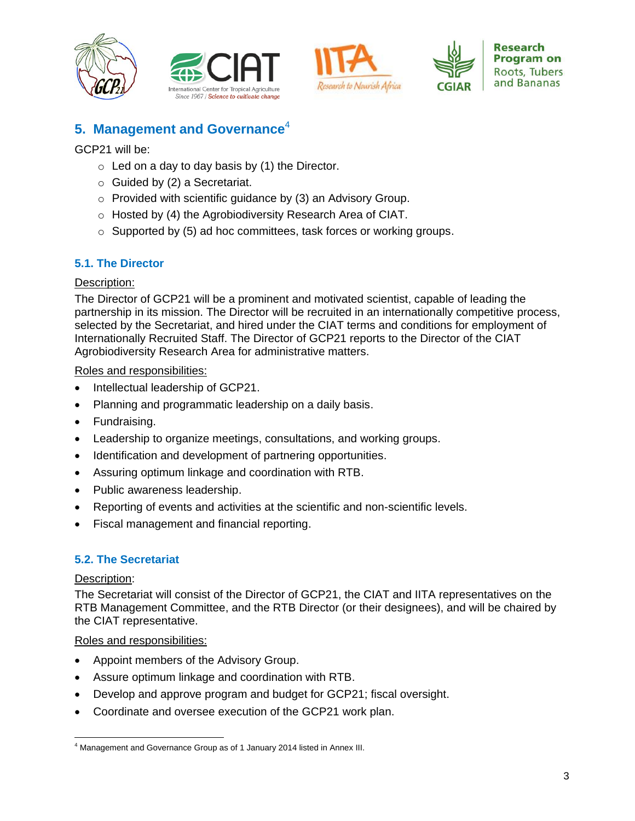







# **5. Management and Governance**<sup>4</sup>

GCP21 will be:

- $\circ$  Led on a day to day basis by (1) the Director.
- $\circ$  Guided by (2) a Secretariat.
- o Provided with scientific guidance by (3) an Advisory Group.
- o Hosted by (4) the Agrobiodiversity Research Area of CIAT.
- o Supported by (5) ad hoc committees, task forces or working groups.

### **5.1. The Director**

### Description:

The Director of GCP21 will be a prominent and motivated scientist, capable of leading the partnership in its mission. The Director will be recruited in an internationally competitive process, selected by the Secretariat, and hired under the CIAT terms and conditions for employment of Internationally Recruited Staff. The Director of GCP21 reports to the Director of the CIAT Agrobiodiversity Research Area for administrative matters.

#### Roles and responsibilities:

- Intellectual leadership of GCP21.
- Planning and programmatic leadership on a daily basis.
- Fundraising.
- Leadership to organize meetings, consultations, and working groups.
- Identification and development of partnering opportunities.
- Assuring optimum linkage and coordination with RTB.
- Public awareness leadership.
- Reporting of events and activities at the scientific and non-scientific levels.
- Fiscal management and financial reporting.

### **5.2. The Secretariat**

### Description:

The Secretariat will consist of the Director of GCP21, the CIAT and IITA representatives on the RTB Management Committee, and the RTB Director (or their designees), and will be chaired by the CIAT representative.

#### Roles and responsibilities:

- Appoint members of the Advisory Group.
- Assure optimum linkage and coordination with RTB.
- Develop and approve program and budget for GCP21; fiscal oversight.
- Coordinate and oversee execution of the GCP21 work plan.

 $\overline{\phantom{a}}$ <sup>4</sup> Management and Governance Group as of 1 January 2014 listed in Annex III.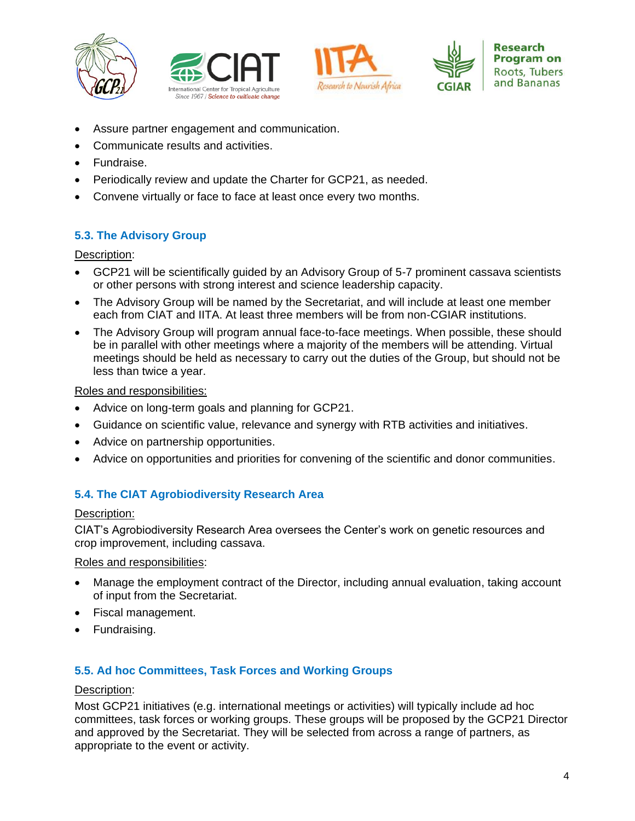







- Assure partner engagement and communication.
- Communicate results and activities.
- Fundraise.
- Periodically review and update the Charter for GCP21, as needed.
- Convene virtually or face to face at least once every two months.

### **5.3. The Advisory Group**

Description:

- GCP21 will be scientifically guided by an Advisory Group of 5-7 prominent cassava scientists or other persons with strong interest and science leadership capacity.
- The Advisory Group will be named by the Secretariat, and will include at least one member each from CIAT and IITA. At least three members will be from non-CGIAR institutions.
- The Advisory Group will program annual face-to-face meetings. When possible, these should be in parallel with other meetings where a majority of the members will be attending. Virtual meetings should be held as necessary to carry out the duties of the Group, but should not be less than twice a year.

Roles and responsibilities:

- Advice on long-term goals and planning for GCP21.
- Guidance on scientific value, relevance and synergy with RTB activities and initiatives.
- Advice on partnership opportunities.
- Advice on opportunities and priorities for convening of the scientific and donor communities.

### **5.4. The CIAT Agrobiodiversity Research Area**

#### Description:

CIAT's Agrobiodiversity Research Area oversees the Center's work on genetic resources and crop improvement, including cassava.

#### Roles and responsibilities:

- Manage the employment contract of the Director, including annual evaluation, taking account of input from the Secretariat.
- Fiscal management.
- Fundraising.

### **5.5. Ad hoc Committees, Task Forces and Working Groups**

#### Description:

Most GCP21 initiatives (e.g. international meetings or activities) will typically include ad hoc committees, task forces or working groups. These groups will be proposed by the GCP21 Director and approved by the Secretariat. They will be selected from across a range of partners, as appropriate to the event or activity.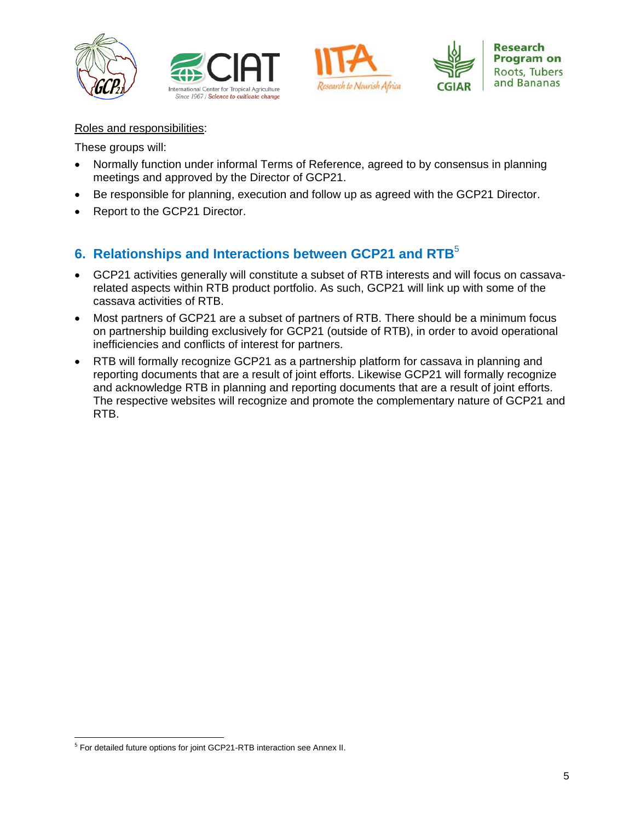







Roles and responsibilities:

These groups will:

- Normally function under informal Terms of Reference, agreed to by consensus in planning meetings and approved by the Director of GCP21.
- Be responsible for planning, execution and follow up as agreed with the GCP21 Director.
- Report to the GCP21 Director.

# **6. Relationships and Interactions between GCP21 and RTB**<sup>5</sup>

- GCP21 activities generally will constitute a subset of RTB interests and will focus on cassavarelated aspects within RTB product portfolio. As such, GCP21 will link up with some of the cassava activities of RTB.
- Most partners of GCP21 are a subset of partners of RTB. There should be a minimum focus on partnership building exclusively for GCP21 (outside of RTB), in order to avoid operational inefficiencies and conflicts of interest for partners.
- RTB will formally recognize GCP21 as a partnership platform for cassava in planning and reporting documents that are a result of joint efforts. Likewise GCP21 will formally recognize and acknowledge RTB in planning and reporting documents that are a result of joint efforts. The respective websites will recognize and promote the complementary nature of GCP21 and RTB.

 5 For detailed future options for joint GCP21-RTB interaction see Annex II.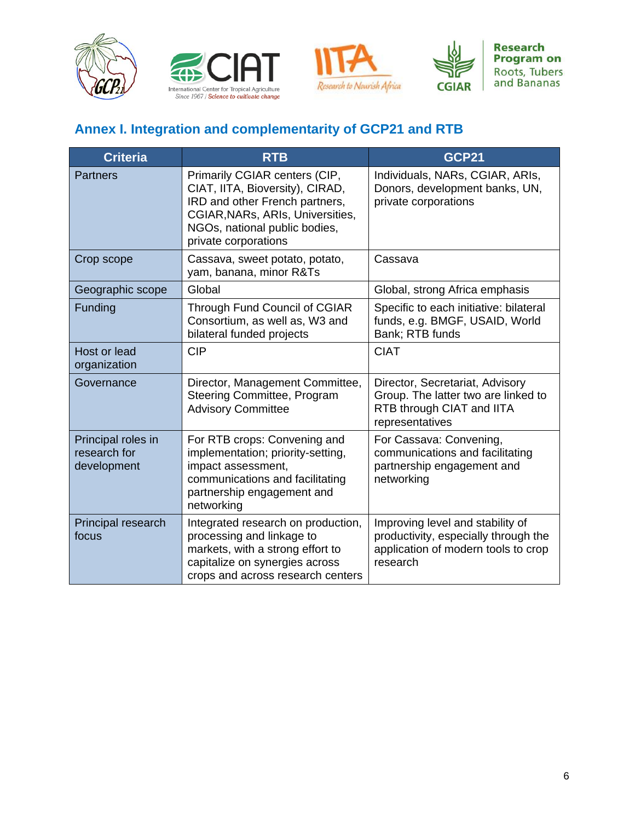







**Research Program on** Roots, Tubers<br>and Bananas

# **Annex I. Integration and complementarity of GCP21 and RTB**

| <b>Criteria</b>                                   | <b>RTB</b>                                                                                                                                                                                      | <b>GCP21</b>                                                                                                                |
|---------------------------------------------------|-------------------------------------------------------------------------------------------------------------------------------------------------------------------------------------------------|-----------------------------------------------------------------------------------------------------------------------------|
| <b>Partners</b>                                   | Primarily CGIAR centers (CIP,<br>CIAT, IITA, Bioversity), CIRAD,<br>IRD and other French partners,<br>CGIAR, NARs, ARIs, Universities,<br>NGOs, national public bodies,<br>private corporations | Individuals, NARs, CGIAR, ARIs,<br>Donors, development banks, UN,<br>private corporations                                   |
| Crop scope                                        | Cassava, sweet potato, potato,<br>yam, banana, minor R&Ts                                                                                                                                       | Cassava                                                                                                                     |
| Geographic scope                                  | Global                                                                                                                                                                                          | Global, strong Africa emphasis                                                                                              |
| Funding                                           | <b>Through Fund Council of CGIAR</b><br>Consortium, as well as, W3 and<br>bilateral funded projects                                                                                             | Specific to each initiative: bilateral<br>funds, e.g. BMGF, USAID, World<br>Bank; RTB funds                                 |
| Host or lead<br>organization                      | <b>CIP</b>                                                                                                                                                                                      | <b>CIAT</b>                                                                                                                 |
| Governance                                        | Director, Management Committee,<br>Steering Committee, Program<br><b>Advisory Committee</b>                                                                                                     | Director, Secretariat, Advisory<br>Group. The latter two are linked to<br>RTB through CIAT and IITA<br>representatives      |
| Principal roles in<br>research for<br>development | For RTB crops: Convening and<br>implementation; priority-setting,<br>impact assessment,<br>communications and facilitating<br>partnership engagement and<br>networking                          | For Cassava: Convening,<br>communications and facilitating<br>partnership engagement and<br>networking                      |
| Principal research<br>focus                       | Integrated research on production,<br>processing and linkage to<br>markets, with a strong effort to<br>capitalize on synergies across<br>crops and across research centers                      | Improving level and stability of<br>productivity, especially through the<br>application of modern tools to crop<br>research |